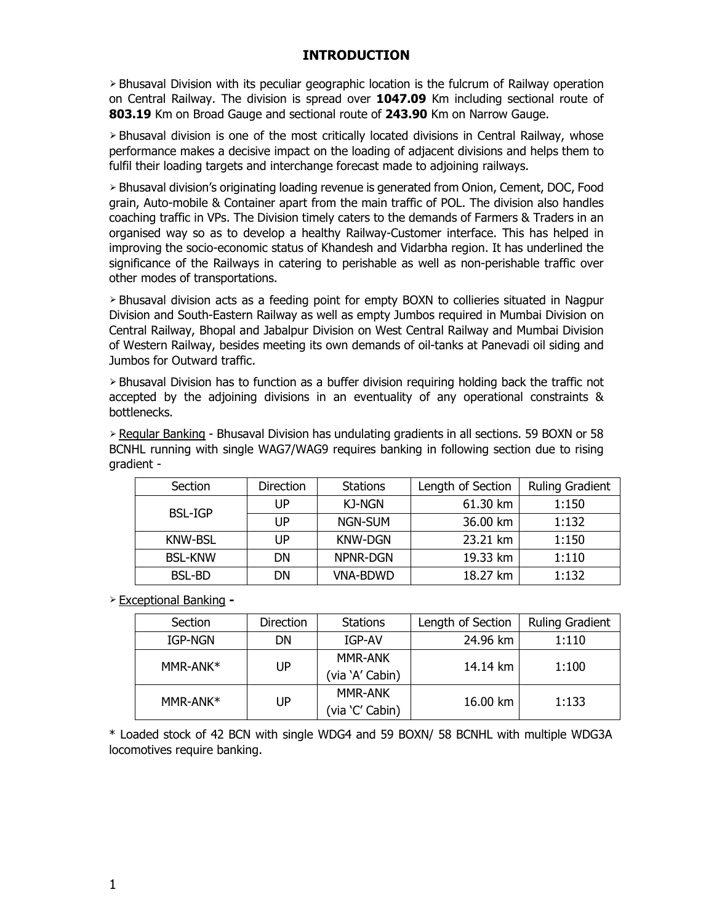## INTRODUCTION

 $\geq$  Bhusaval Division with its peculiar geographic location is the fulcrum of Railway operation on Central Railway. The division is spread over 1047.09 Km including sectional route of 803.19 Km on Broad Gauge and sectional route of 243.90 Km on Narrow Gauge.

⮚ Bhusaval division is one of the most critically located divisions in Central Railway, whose performance makes a decisive impact on the loading of adjacent divisions and helps them to fulfil their loading targets and interchange forecast made to adjoining railways.

⮚ Bhusaval division's originating loading revenue is generated from Onion, Cement, DOC, Food grain, Auto-mobile & Container apart from the main traffic of POL. The division also handles coaching traffic in VPs. The Division timely caters to the demands of Farmers & Traders in an organised way so as to develop a healthy Railway-Customer interface. This has helped in improving the socio-economic status of Khandesh and Vidarbha region. It has underlined the significance of the Railways in catering to perishable as well as non-perishable traffic over other modes of transportations.

⮚ Bhusaval division acts as a feeding point for empty BOXN to collieries situated in Nagpur Division and South-Eastern Railway as well as empty Jumbos required in Mumbai Division on Central Railway, Bhopal and Jabalpur Division on West Central Railway and Mumbai Division of Western Railway, besides meeting its own demands of oil-tanks at Panevadi oil siding and Jumbos for Outward traffic.

 $\geq$  Bhusaval Division has to function as a buffer division requiring holding back the traffic not accepted by the adjoining divisions in an eventuality of any operational constraints & bottlenecks.

⮚ Regular Banking - Bhusaval Division has undulating gradients in all sections. 59 BOXN or 58 BCNHL running with single WAG7/WAG9 requires banking in following section due to rising gradient -

| Section        | Direction | <b>Stations</b> | Length of Section | <b>Ruling Gradient</b> |
|----------------|-----------|-----------------|-------------------|------------------------|
| <b>BSL-IGP</b> | UP        | KJ-NGN          | 61.30 km          | 1:150                  |
|                | UP        | NGN-SUM         | 36.00 km          | 1:132                  |
| <b>KNW-BSL</b> | UP        | <b>KNW-DGN</b>  | 23.21 km          | 1:150                  |
| <b>BSL-KNW</b> | DN        | NPNR-DGN        | 19.33 km          | 1:110                  |
| <b>BSL-BD</b>  | DN        | <b>VNA-BDWD</b> | 18.27 km          | 1:132                  |

 $\geq$  Exceptional Banking -

|          | Section  | <b>Direction</b> | <b>Stations</b> | Length of Section | <b>Ruling Gradient</b> |
|----------|----------|------------------|-----------------|-------------------|------------------------|
|          | IGP-NGN  | DN               | IGP-AV          | 24.96 km          | 1:110                  |
|          | MMR-ANK* | UP               | <b>MMR-ANK</b>  | 14.14 km          |                        |
|          |          | (via `A' Cabin)  |                 |                   |                        |
| MMR-ANK* |          | <b>MMR-ANK</b>   |                 |                   |                        |
|          |          | UP               | (via 'C' Cabin) | 16.00 km          | 1:100<br>1:133         |

\* Loaded stock of 42 BCN with single WDG4 and 59 BOXN/ 58 BCNHL with multiple WDG3A locomotives require banking.